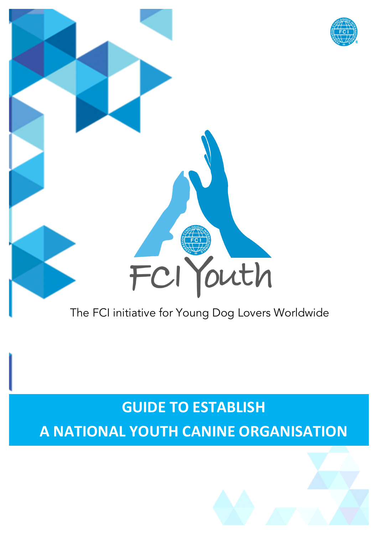

The FCI initiative for Young Dog Lovers Worldwide

# **GUIDE TO ESTABLISH**

**A NATIONAL YOUTH CANINE ORGANISATION**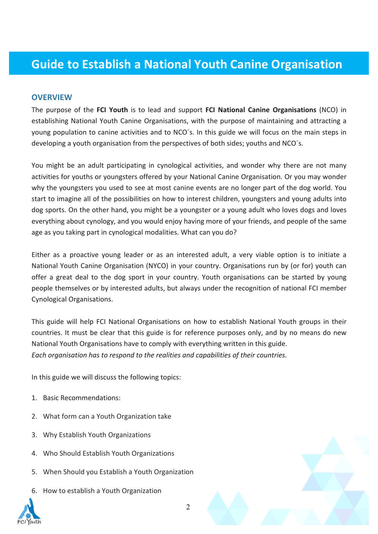# **Guide to Establish a National Youth Canine Organisation**

#### **OVERVIEW**

The purpose of the **FCI Youth** is to lead and support **FCI National Canine Organisations** (NCO) in establishing National Youth Canine Organisations, with the purpose of maintaining and attracting a young population to canine activities and to NCO´s. In this guide we will focus on the main steps in developing a youth organisation from the perspectives of both sides; youths and NCO´s.

You might be an adult participating in cynological activities, and wonder why there are not many activities for youths or youngsters offered by your National Canine Organisation. Or you may wonder why the youngsters you used to see at most canine events are no longer part of the dog world. You start to imagine all of the possibilities on how to interest children, youngsters and young adults into dog sports. On the other hand, you might be a youngster or a young adult who loves dogs and loves everything about cynology, and you would enjoy having more of your friends, and people of the same age as you taking part in cynological modalities. What can you do?

Either as a proactive young leader or as an interested adult, a very viable option is to initiate a National Youth Canine Organisation (NYCO) in your country. Organisations run by (or for) youth can offer a great deal to the dog sport in your country. Youth organisations can be started by young people themselves or by interested adults, but always under the recognition of national FCI member Cynological Organisations.

This guide will help FCI National Organisations on how to establish National Youth groups in their countries. It must be clear that this guide is for reference purposes only, and by no means do new National Youth Organisations have to comply with everything written in this guide. *Each organisation has to respond to the realities and capabilities of their countries.*

In this guide we will discuss the following topics:

- 1. Basic Recommendations:
- 2. What form can a Youth Organization take
- 3. Why Establish Youth Organizations
- 4. Who Should Establish Youth Organizations
- 5. When Should you Establish a Youth Organization
- 6. How to establish a Youth Organization



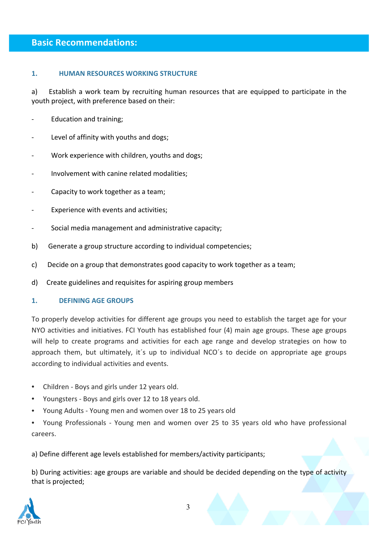#### **Basic Recommendations:**

#### **1. HUMAN RESOURCES WORKING STRUCTURE**

a) Establish a work team by recruiting human resources that are equipped to participate in the youth project, with preference based on their:

- Education and training;
- Level of affinity with youths and dogs;
- Work experience with children, youths and dogs;
- Involvement with canine related modalities;
- Capacity to work together as a team;
- Experience with events and activities;
- Social media management and administrative capacity;
- b) Generate a group structure according to individual competencies;
- c) Decide on a group that demonstrates good capacity to work together as a team;
- d) Create guidelines and requisites for aspiring group members

#### 1. **DEFINING AGE GROUPS**

To properly develop activities for different age groups you need to establish the target age for your NYO activities and initiatives. FCI Youth has established four (4) main age groups. These age groups will help to create programs and activities for each age range and develop strategies on how to approach them, but ultimately, it's up to individual NCO's to decide on appropriate age groups according to individual activities and events.

- Children Boys and girls under 12 years old.
- Youngsters Boys and girls over 12 to 18 years old.
- Young Adults Young men and women over 18 to 25 years old

• Young Professionals - Young men and women over 25 to 35 years old who have professional careers.

a) Define different age levels established for members/activity participants;

b) During activities: age groups are variable and should be decided depending on the type of activity that is projected;

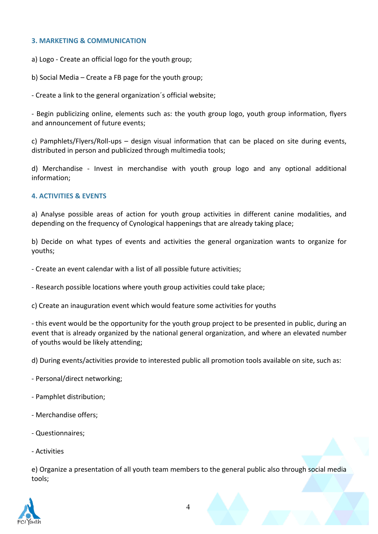#### **3. MARKETING & COMMUNICATION**

a) Logo - Create an official logo for the youth group;

b) Social Media – Create a FB page for the youth group;

- Create a link to the general organization's official website;

- Begin publicizing online, elements such as: the youth group logo, youth group information, flyers and announcement of future events:

c) Pamphlets/Flyers/Roll-ups  $-$  design visual information that can be placed on site during events, distributed in person and publicized through multimedia tools:

d) Merchandise - Invest in merchandise with youth group logo and any optional additional information; 

#### **4. ACTIVITIES & EVENTS**

a) Analyse possible areas of action for youth group activities in different canine modalities, and depending on the frequency of Cynological happenings that are already taking place;

b) Decide on what types of events and activities the general organization wants to organize for youths; 

- Create an event calendar with a list of all possible future activities;

- Research possible locations where youth group activities could take place;

c) Create an inauguration event which would feature some activities for youths

- this event would be the opportunity for the youth group project to be presented in public, during an event that is already organized by the national general organization, and where an elevated number of youths would be likely attending;

d) During events/activities provide to interested public all promotion tools available on site, such as:

- Personal/direct networking;
- Pamphlet distribution;
- Merchandise offers;
- Questionnaires;
- Activities

e) Organize a presentation of all vouth team members to the general public also through social media tools; 

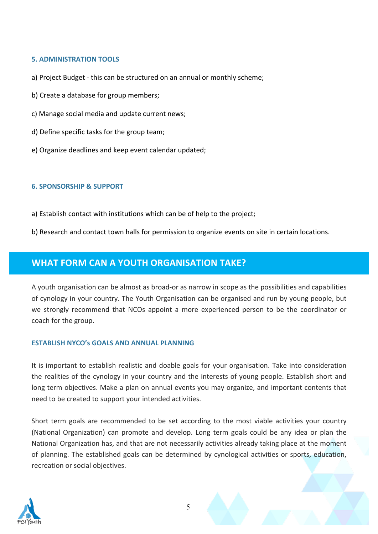#### **5. ADMINISTRATION TOOLS**

- a) Project Budget this can be structured on an annual or monthly scheme;
- b) Create a database for group members;
- c) Manage social media and update current news;
- d) Define specific tasks for the group team;
- e) Organize deadlines and keep event calendar updated:

#### **6. SPONSORSHIP & SUPPORT**

- a) Establish contact with institutions which can be of help to the project;
- b) Research and contact town halls for permission to organize events on site in certain locations.

# **WHAT FORM CAN A YOUTH ORGANISATION TAKE?**

A youth organisation can be almost as broad-or as narrow in scope as the possibilities and capabilities of cynology in your country. The Youth Organisation can be organised and run by young people, but we strongly recommend that NCOs appoint a more experienced person to be the coordinator or coach for the group. 

#### **ESTABLISH NYCO's GOALS AND ANNUAL PLANNING**

It is important to establish realistic and doable goals for your organisation. Take into consideration the realities of the cynology in your country and the interests of young people. Establish short and long term objectives. Make a plan on annual events you may organize, and important contents that need to be created to support your intended activities.

Short term goals are recommended to be set according to the most viable activities your country (National Organization) can promote and develop. Long term goals could be any idea or plan the National Organization has, and that are not necessarily activities already taking place at the moment of planning. The established goals can be determined by cynological activities or sports, education, recreation or social objectives.

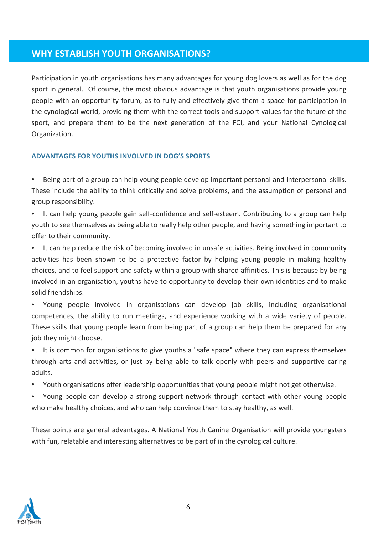### **WHY ESTABLISH YOUTH ORGANISATIONS?**

Participation in youth organisations has many advantages for young dog lovers as well as for the dog sport in general. Of course, the most obvious advantage is that youth organisations provide young people with an opportunity forum, as to fully and effectively give them a space for participation in the cynological world, providing them with the correct tools and support values for the future of the sport, and prepare them to be the next generation of the FCI, and your National Cynological Organization.

#### **ADVANTAGES FOR YOUTHS INVOLVED IN DOG'S SPORTS**

• Being part of a group can help young people develop important personal and interpersonal skills. These include the ability to think critically and solve problems, and the assumption of personal and group responsibility.

It can help young people gain self-confidence and self-esteem. Contributing to a group can help youth to see themselves as being able to really help other people, and having something important to offer to their community.

• It can help reduce the risk of becoming involved in unsafe activities. Being involved in community activities has been shown to be a protective factor by helping young people in making healthy choices, and to feel support and safety within a group with shared affinities. This is because by being involved in an organisation, youths have to opportunity to develop their own identities and to make solid friendships.

• Young people involved in organisations can develop job skills, including organisational competences, the ability to run meetings, and experience working with a wide variety of people. These skills that young people learn from being part of a group can help them be prepared for any job they might choose.

• It is common for organisations to give youths a "safe space" where they can express themselves through arts and activities, or just by being able to talk openly with peers and supportive caring adults.

• Youth organisations offer leadership opportunities that young people might not get otherwise.

• Young people can develop a strong support network through contact with other young people who make healthy choices, and who can help convince them to stay healthy, as well.

These points are general advantages. A National Youth Canine Organisation will provide youngsters with fun, relatable and interesting alternatives to be part of in the cynological culture.

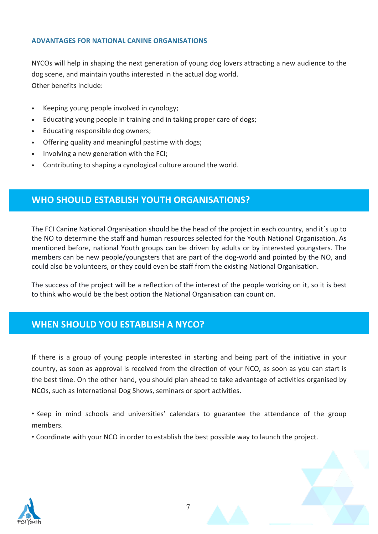#### **ADVANTAGES FOR NATIONAL CANINE ORGANISATIONS**

NYCOs will help in shaping the next generation of young dog lovers attracting a new audience to the dog scene, and maintain youths interested in the actual dog world. Other benefits include:

- Keeping young people involved in cynology;
- Educating young people in training and in taking proper care of dogs;
- Educating responsible dog owners;
- Offering quality and meaningful pastime with dogs;
- Involving a new generation with the FCI;
- Contributing to shaping a cynological culture around the world.

# **WHO SHOULD ESTABLISH YOUTH ORGANISATIONS?**

The FCI Canine National Organisation should be the head of the project in each country, and it´s up to the NO to determine the staff and human resources selected for the Youth National Organisation. As mentioned before, national Youth groups can be driven by adults or by interested youngsters. The members can be new people/youngsters that are part of the dog-world and pointed by the NO, and could also be volunteers, or they could even be staff from the existing National Organisation.

The success of the project will be a reflection of the interest of the people working on it, so it is best to think who would be the best option the National Organisation can count on.

# **WHEN SHOULD YOU ESTABLISH A NYCO?**

If there is a group of young people interested in starting and being part of the initiative in your country, as soon as approval is received from the direction of your NCO, as soon as you can start is the best time. On the other hand, you should plan ahead to take advantage of activities organised by NCOs, such as International Dog Shows, seminars or sport activities.

• Keep in mind schools and universities' calendars to guarantee the attendance of the group members.

• Coordinate with your NCO in order to establish the best possible way to launch the project.



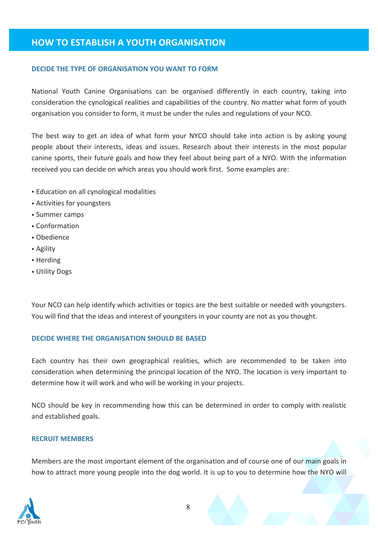# **HOW TO ESTABLISH A YOUTH ORGANISATION**

#### **DECIDE THE TYPE OF ORGANISATION YOU WANT TO FORM**

National Youth Canine Organisations can be organised differently in each country, taking into consideration the cynological realities and capabilities of the country. No matter what form of youth organisation you consider to form, it must be under the rules and regulations of your NCO.

The best way to get an idea of what form your NYCO should take into action is by asking young people about their interests, ideas and issues. Research about their interests in the most popular canine sports, their future goals and how they feel about being part of a NYO. With the information received you can decide on which areas you should work first. Some examples are:

- Education on all cynological modalities
- Activities for youngsters
- Summer camps
- Conformation
- Obedience
- Agility
- Herding
- Utility Dogs

Your NCO can help identify which activities or topics are the best suitable or needed with youngsters. You will find that the ideas and interest of youngsters in your county are not as you thought.

#### **DECIDE WHERE THE ORGANISATION SHOULD BE BASED**

Each country has their own geographical realities, which are recommended to be taken into consideration when determining the principal location of the NYO. The location is very important to determine how it will work and who will be working in your projects. 

NCO should be key in recommending how this can be determined in order to comply with realistic and established goals.

#### **RECRUIT MEMBERS**

Members are the most important element of the organisation and of course one of our main goals in how to attract more young people into the dog world. It is up to you to determine how the NYO will